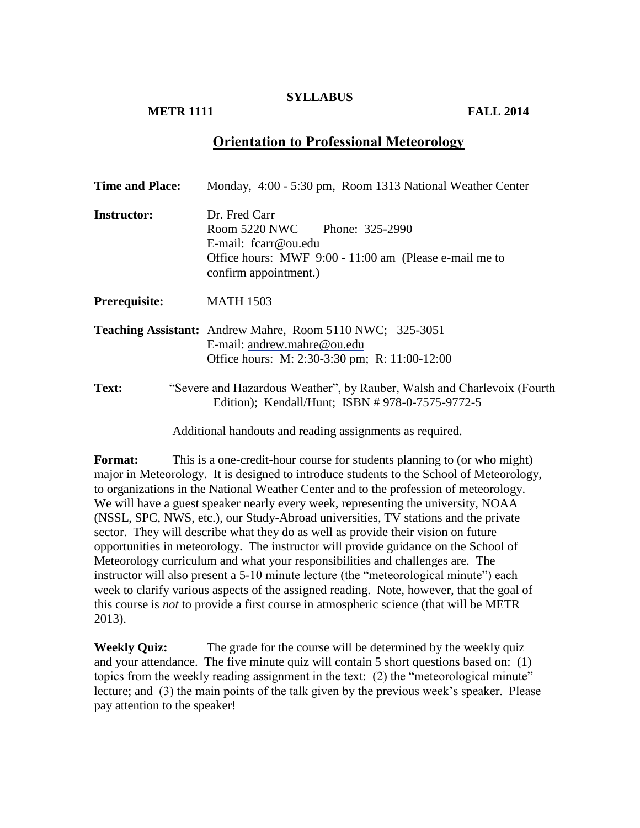#### **SYLLABUS**

## **METR 1111 FALL 2014**

# **Orientation to Professional Meteorology**

| <b>Time and Place:</b> | Monday, 4:00 - 5:30 pm, Room 1313 National Weather Center                                                                                                  |
|------------------------|------------------------------------------------------------------------------------------------------------------------------------------------------------|
| <b>Instructor:</b>     | Dr. Fred Carr<br>Room 5220 NWC Phone: 325-2990<br>E-mail: $fcar@ou.edu$<br>Office hours: MWF 9:00 - 11:00 am (Please e-mail me to<br>confirm appointment.) |
| Prerequisite:          | <b>MATH 1503</b>                                                                                                                                           |
|                        | Teaching Assistant: Andrew Mahre, Room 5110 NWC; 325-3051<br>E-mail: andrew.mahre@ou.edu<br>Office hours: M: 2:30-3:30 pm; R: 11:00-12:00                  |
| <b>Text:</b>           | "Severe and Hazardous Weather", by Rauber, Walsh and Charlevoix (Fourth<br>Edition); Kendall/Hunt; ISBN #978-0-7575-9772-5                                 |
|                        | Additional handouts and reading assignments as required.                                                                                                   |

**Format:** This is a one-credit-hour course for students planning to (or who might) major in Meteorology. It is designed to introduce students to the School of Meteorology, to organizations in the National Weather Center and to the profession of meteorology. We will have a guest speaker nearly every week, representing the university, NOAA (NSSL, SPC, NWS, etc.), our Study-Abroad universities, TV stations and the private sector. They will describe what they do as well as provide their vision on future opportunities in meteorology. The instructor will provide guidance on the School of Meteorology curriculum and what your responsibilities and challenges are. The instructor will also present a 5-10 minute lecture (the "meteorological minute") each week to clarify various aspects of the assigned reading. Note, however, that the goal of this course is *not* to provide a first course in atmospheric science (that will be METR 2013).

**Weekly Quiz:** The grade for the course will be determined by the weekly quiz and your attendance. The five minute quiz will contain 5 short questions based on: (1) topics from the weekly reading assignment in the text: (2) the "meteorological minute" lecture; and (3) the main points of the talk given by the previous week's speaker. Please pay attention to the speaker!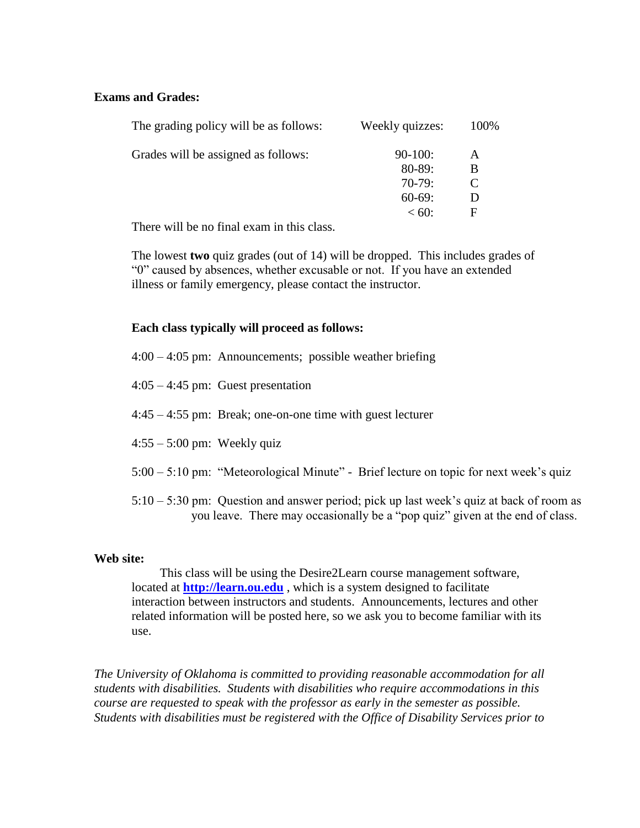#### **Exams and Grades:**

| The grading policy will be as follows: | Weekly quizzes: | 100\% |
|----------------------------------------|-----------------|-------|
| Grades will be assigned as follows:    | $90-100:$       | A     |
|                                        | $80 - 89:$      | В     |
|                                        | $70-79:$        |       |
|                                        | $60-69:$        |       |
|                                        | $< 60$ :        | F     |
|                                        |                 |       |

There will be no final exam in this class.

The lowest **two** quiz grades (out of 14) will be dropped. This includes grades of "0" caused by absences, whether excusable or not. If you have an extended illness or family emergency, please contact the instructor.

### **Each class typically will proceed as follows:**

- 4:00 4:05 pm: Announcements; possible weather briefing
- 4:05 4:45 pm: Guest presentation
- 4:45 4:55 pm: Break; one-on-one time with guest lecturer
- $4:55 5:00$  pm: Weekly quiz
- 5:00 5:10 pm: "Meteorological Minute" Brief lecture on topic for next week's quiz
- 5:10 5:30 pm: Question and answer period; pick up last week's quiz at back of room as you leave. There may occasionally be a "pop quiz" given at the end of class.

#### **Web site:**

This class will be using the Desire2Learn course management software, located at **[http://learn.ou.edu](http://learn.ou.edu/)** , which is a system designed to facilitate interaction between instructors and students. Announcements, lectures and other related information will be posted here, so we ask you to become familiar with its use.

*The University of Oklahoma is committed to providing reasonable accommodation for all students with disabilities. Students with disabilities who require accommodations in this course are requested to speak with the professor as early in the semester as possible. Students with disabilities must be registered with the Office of Disability Services prior to*